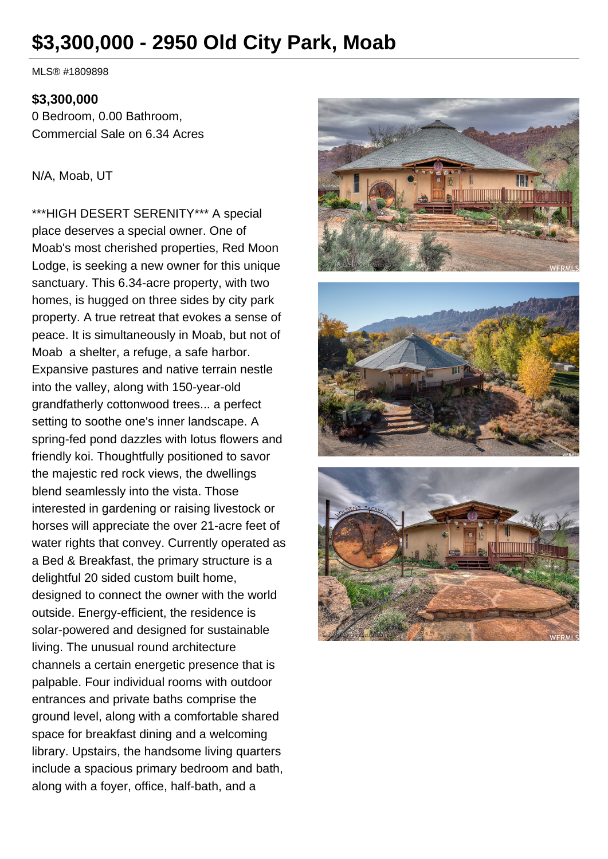# **\$3,300,000 - 2950 Old City Park, Moab**

MLS® #1809898

#### **\$3,300,000**

0 Bedroom, 0.00 Bathroom, Commercial Sale on 6.34 Acres

#### N/A, Moab, UT

\*\*\*HIGH DESERT SERENITY\*\*\* A special place deserves a special owner. One of Moab's most cherished properties, Red Moon Lodge, is seeking a new owner for this unique sanctuary. This 6.34-acre property, with two homes, is hugged on three sides by city park property. A true retreat that evokes a sense of peace. It is simultaneously in Moab, but not of Moab a shelter, a refuge, a safe harbor. Expansive pastures and native terrain nestle into the valley, along with 150-year-old grandfatherly cottonwood trees... a perfect setting to soothe one's inner landscape. A spring-fed pond dazzles with lotus flowers and friendly koi. Thoughtfully positioned to savor the majestic red rock views, the dwellings blend seamlessly into the vista. Those interested in gardening or raising livestock or horses will appreciate the over 21-acre feet of water rights that convey. Currently operated as a Bed & Breakfast, the primary structure is a delightful 20 sided custom built home, designed to connect the owner with the world outside. Energy-efficient, the residence is solar-powered and designed for sustainable living. The unusual round architecture channels a certain energetic presence that is palpable. Four individual rooms with outdoor entrances and private baths comprise the ground level, along with a comfortable shared space for breakfast dining and a welcoming library. Upstairs, the handsome living quarters include a spacious primary bedroom and bath, along with a foyer, office, half-bath, and a





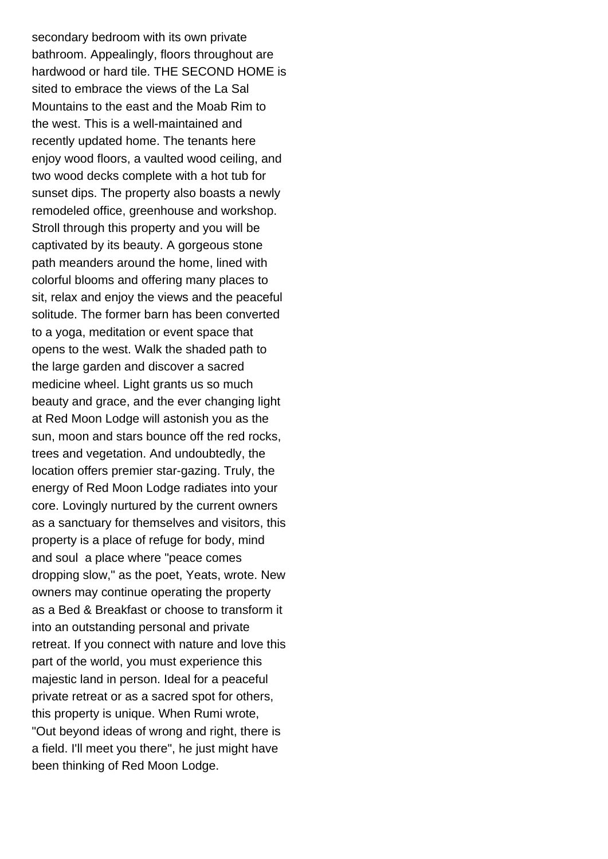secondary bedroom with its own private bathroom. Appealingly, floors throughout are hardwood or hard tile. THE SECOND HOME is sited to embrace the views of the La Sal Mountains to the east and the Moab Rim to the west. This is a well-maintained and recently updated home. The tenants here enjoy wood floors, a vaulted wood ceiling, and two wood decks complete with a hot tub for sunset dips. The property also boasts a newly remodeled office, greenhouse and workshop. Stroll through this property and you will be captivated by its beauty. A gorgeous stone path meanders around the home, lined with colorful blooms and offering many places to sit, relax and enjoy the views and the peaceful solitude. The former barn has been converted to a yoga, meditation or event space that opens to the west. Walk the shaded path to the large garden and discover a sacred medicine wheel. Light grants us so much beauty and grace, and the ever changing light at Red Moon Lodge will astonish you as the sun, moon and stars bounce off the red rocks, trees and vegetation. And undoubtedly, the location offers premier star-gazing. Truly, the energy of Red Moon Lodge radiates into your core. Lovingly nurtured by the current owners as a sanctuary for themselves and visitors, this property is a place of refuge for body, mind and soul a place where "peace comes dropping slow," as the poet, Yeats, wrote. New owners may continue operating the property as a Bed & Breakfast or choose to transform it into an outstanding personal and private retreat. If you connect with nature and love this part of the world, you must experience this majestic land in person. Ideal for a peaceful private retreat or as a sacred spot for others, this property is unique. When Rumi wrote, "Out beyond ideas of wrong and right, there is a field. I'll meet you there", he just might have been thinking of Red Moon Lodge.